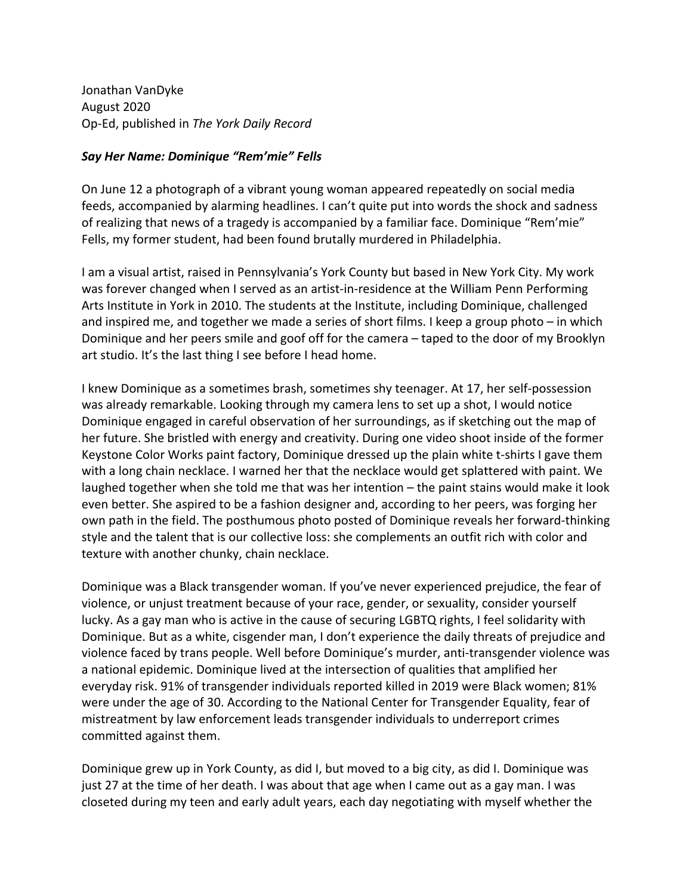Jonathan VanDyke August 2020 Op-Ed, published in *The York Daily Record*

## *Say Her Name: Dominique "Rem'mie" Fells*

On June 12 a photograph of a vibrant young woman appeared repeatedly on social media feeds, accompanied by alarming headlines. I can't quite put into words the shock and sadness of realizing that news of a tragedy is accompanied by a familiar face. Dominique "Rem'mie" Fells, my former student, had been found brutally murdered in Philadelphia.

I am a visual artist, raised in Pennsylvania's York County but based in New York City. My work was forever changed when I served as an artist-in-residence at the William Penn Performing Arts Institute in York in 2010. The students at the Institute, including Dominique, challenged and inspired me, and together we made a series of short films. I keep a group photo – in which Dominique and her peers smile and goof off for the camera – taped to the door of my Brooklyn art studio. It's the last thing I see before I head home.

I knew Dominique as a sometimes brash, sometimes shy teenager. At 17, her self-possession was already remarkable. Looking through my camera lens to set up a shot, I would notice Dominique engaged in careful observation of her surroundings, as if sketching out the map of her future. She bristled with energy and creativity. During one video shoot inside of the former Keystone Color Works paint factory, Dominique dressed up the plain white t-shirts I gave them with a long chain necklace. I warned her that the necklace would get splattered with paint. We laughed together when she told me that was her intention – the paint stains would make it look even better. She aspired to be a fashion designer and, according to her peers, was forging her own path in the field. The posthumous photo posted of Dominique reveals her forward-thinking style and the talent that is our collective loss: she complements an outfit rich with color and texture with another chunky, chain necklace.

Dominique was a Black transgender woman. If you've never experienced prejudice, the fear of violence, or unjust treatment because of your race, gender, or sexuality, consider yourself lucky. As a gay man who is active in the cause of securing LGBTQ rights, I feel solidarity with Dominique. But as a white, cisgender man, I don't experience the daily threats of prejudice and violence faced by trans people. Well before Dominique's murder, anti-transgender violence was a national epidemic. Dominique lived at the intersection of qualities that amplified her everyday risk. 91% of transgender individuals reported killed in 2019 were Black women; 81% were under the age of 30. According to the National Center for Transgender Equality, fear of mistreatment by law enforcement leads transgender individuals to underreport crimes committed against them.

Dominique grew up in York County, as did I, but moved to a big city, as did I. Dominique was just 27 at the time of her death. I was about that age when I came out as a gay man. I was closeted during my teen and early adult years, each day negotiating with myself whether the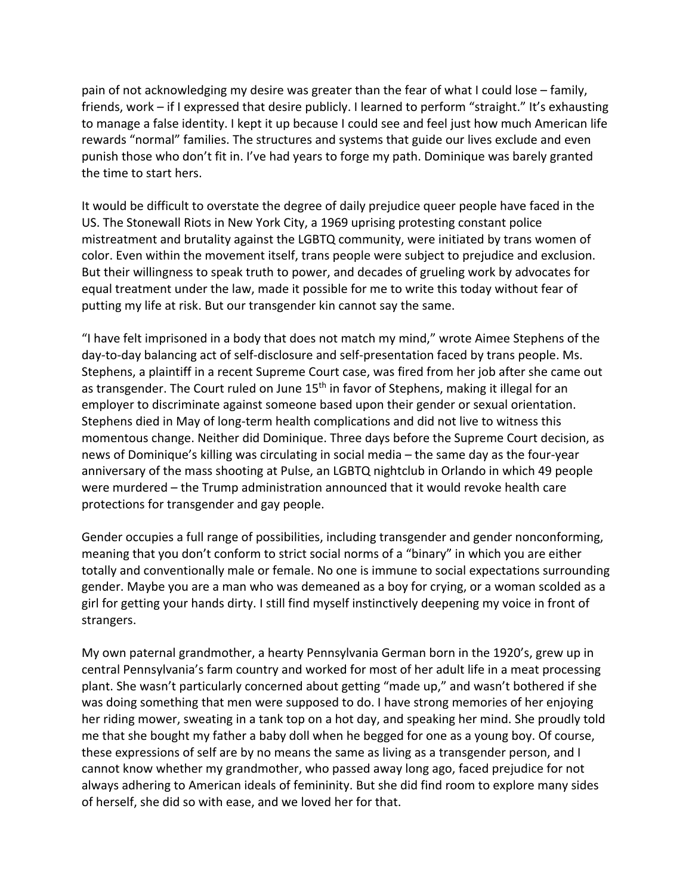pain of not acknowledging my desire was greater than the fear of what I could lose – family, friends, work – if I expressed that desire publicly. I learned to perform "straight." It's exhausting to manage a false identity. I kept it up because I could see and feel just how much American life rewards "normal" families. The structures and systems that guide our lives exclude and even punish those who don't fit in. I've had years to forge my path. Dominique was barely granted the time to start hers.

It would be difficult to overstate the degree of daily prejudice queer people have faced in the US. The Stonewall Riots in New York City, a 1969 uprising protesting constant police mistreatment and brutality against the LGBTQ community, were initiated by trans women of color. Even within the movement itself, trans people were subject to prejudice and exclusion. But their willingness to speak truth to power, and decades of grueling work by advocates for equal treatment under the law, made it possible for me to write this today without fear of putting my life at risk. But our transgender kin cannot say the same.

"I have felt imprisoned in a body that does not match my mind," wrote Aimee Stephens of the day-to-day balancing act of self-disclosure and self-presentation faced by trans people. Ms. Stephens, a plaintiff in a recent Supreme Court case, was fired from her job after she came out as transgender. The Court ruled on June 15<sup>th</sup> in favor of Stephens, making it illegal for an employer to discriminate against someone based upon their gender or sexual orientation. Stephens died in May of long-term health complications and did not live to witness this momentous change. Neither did Dominique. Three days before the Supreme Court decision, as news of Dominique's killing was circulating in social media – the same day as the four-year anniversary of the mass shooting at Pulse, an LGBTQ nightclub in Orlando in which 49 people were murdered – the Trump administration announced that it would revoke health care protections for transgender and gay people.

Gender occupies a full range of possibilities, including transgender and gender nonconforming, meaning that you don't conform to strict social norms of a "binary" in which you are either totally and conventionally male or female. No one is immune to social expectations surrounding gender. Maybe you are a man who was demeaned as a boy for crying, or a woman scolded as a girl for getting your hands dirty. I still find myself instinctively deepening my voice in front of strangers.

My own paternal grandmother, a hearty Pennsylvania German born in the 1920's, grew up in central Pennsylvania's farm country and worked for most of her adult life in a meat processing plant. She wasn't particularly concerned about getting "made up," and wasn't bothered if she was doing something that men were supposed to do. I have strong memories of her enjoying her riding mower, sweating in a tank top on a hot day, and speaking her mind. She proudly told me that she bought my father a baby doll when he begged for one as a young boy. Of course, these expressions of self are by no means the same as living as a transgender person, and I cannot know whether my grandmother, who passed away long ago, faced prejudice for not always adhering to American ideals of femininity. But she did find room to explore many sides of herself, she did so with ease, and we loved her for that.